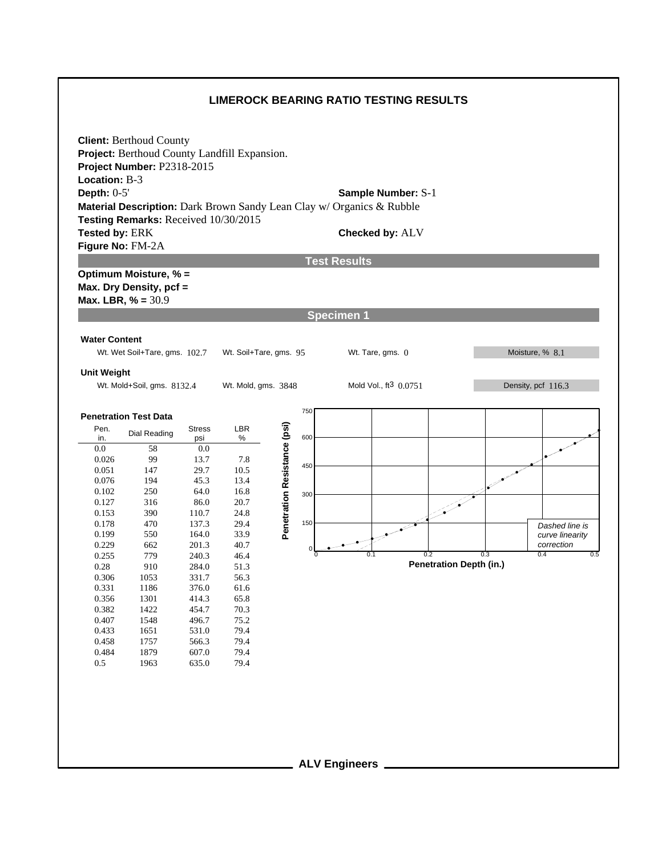## **LIMEROCK BEARING RATIO TESTING RESULTS**



**ALV Engineers**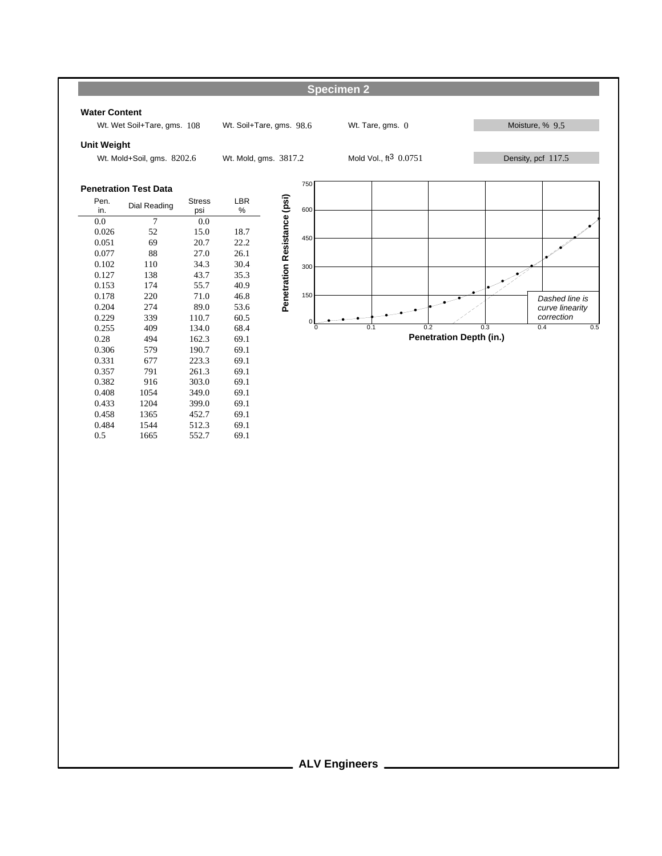